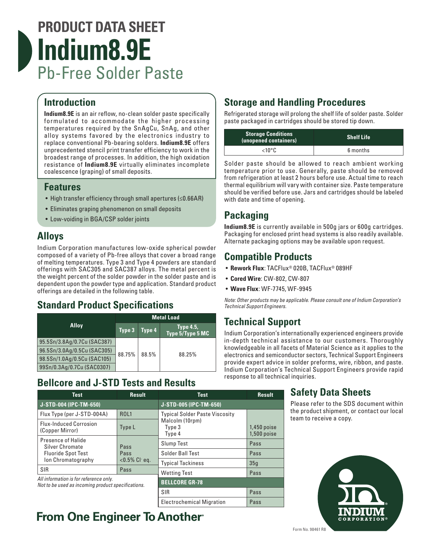# **PRODUCT DATA SHEET Indium8.9E** Pb-Free Solder Paste

### **Introduction**

**Indium8.9E** is an air reflow, no-clean solder paste specifically formulated to accommodate the higher processing temperatures required by the SnAgCu, SnAg, and other alloy systems favored by the electronics industry to replace conventional Pb-bearing solders. **Indium8.9E** offers unprecedented stencil print transfer efficiency to work in the broadest range of processes. In addition, the high oxidation resistance of **Indium8.9E** virtually eliminates incomplete coalescence (graping) of small deposits.

#### **Features**

- High transfer efficiency through small apertures (≤0.66AR)
- Eliminates graping phenomenon on small deposits
- Low-voiding in BGA/CSP solder joints

## **Alloys**

Indium Corporation manufactures low-oxide spherical powder composed of a variety of Pb-free alloys that cover a broad range of melting temperatures. Type 3 and Type 4 powders are standard offerings with SAC305 and SAC387 alloys. The metal percent is the weight percent of the solder powder in the solder paste and is dependent upon the powder type and application. Standard product offerings are detailed in the following table.

### **Standard Product Specifications**

|                             | <b>Metal Load</b> |        |                                      |
|-----------------------------|-------------------|--------|--------------------------------------|
| <b>Alloy</b>                | Type 3            | Type 4 | <b>Type 4.5,</b><br>Type 5/Type 5 MC |
| 95.5Sn/3.8Ag/0.7Cu (SAC387) |                   | 88.5%  | 88.25%                               |
| 96.5Sn/3.0Ag/0.5Cu (SAC305) | 88.75%            |        |                                      |
| 98.5Sn/1.0Ag/0.5Cu (SAC105) |                   |        |                                      |
| 99Sn/0.3Ag/0.7Cu (SAC0307)  |                   |        |                                      |

### **Bellcore and J-STD Tests and Results**

### **Storage and Handling Procedures**

Refrigerated storage will prolong the shelf life of solder paste. Solder paste packaged in cartridges should be stored tip down.

| <b>Storage Conditions</b><br>(unopened containers) | <b>Shelf Life</b> |
|----------------------------------------------------|-------------------|
| $< 10^{\circ}$ C                                   | 6 months          |

Solder paste should be allowed to reach ambient working temperature prior to use. Generally, paste should be removed from refrigeration at least 2 hours before use. Actual time to reach thermal equilibrium will vary with container size. Paste temperature should be verified before use. Jars and cartridges should be labeled with date and time of opening.

## **Packaging**

**Indium8.9E** is currently available in 500g jars or 600g cartridges. Packaging for enclosed print head systems is also readily available. Alternate packaging options may be available upon request.

### **Compatible Products**

- **Rework Flux**: TACFlux® 020B, TACFlux® 089HF
- **Cored Wire**: CW-802, CW-807
- **Wave Flux**: WF-7745, WF-9945

*Note: Other products may be applicable. Please consult one of Indium Corporation's Technical Support Engineers.*

### **Technical Support**

Indium Corporation's internationally experienced engineers provide in-depth technical assistance to our customers. Thoroughly knowledgeable in all facets of Material Science as it applies to the electronics and semiconductor sectors, Technical Support Engineers provide expert advice in solder preforms, wire, ribbon, and paste. Indium Corporation's Technical Support Engineers provide rapid response to all technical inquiries.

| <b>Test</b>                                                                                  | <b>Result</b>            | <b>Test</b>                           | <b>Result</b>                |
|----------------------------------------------------------------------------------------------|--------------------------|---------------------------------------|------------------------------|
| J-STD-004 (IPC-TM-650)                                                                       |                          | J-STD-005 (IPC-TM-650)                |                              |
| Flux Type (per J-STD-004A)                                                                   | <b>ROL1</b>              | <b>Typical Solder Paste Viscosity</b> |                              |
| <b>Flux-Induced Corrosion</b><br>(Copper Mirror)                                             | Type L                   | Malcolm (10rpm)<br>Type 3<br>Type 4   | $1,450$ poise<br>1,500 poise |
| <b>Presence of Halide</b><br>Silver Chromate                                                 | Pass                     | <b>Slump Test</b>                     | Pass                         |
| <b>Fluoride Spot Test</b><br>Pass<br>Ion Chromatography<br>$< 0.5\%$ Cl eq.                  | Solder Ball Test         | Pass                                  |                              |
|                                                                                              | <b>Typical Tackiness</b> | 35q                                   |                              |
| <b>SIR</b>                                                                                   | Pass                     | <b>Wetting Test</b>                   | Pass                         |
| All information is for reference only.<br>Not to be used as incoming product specifications. |                          | <b>BELLCORE GR-78</b>                 |                              |

SIR Pass Electrochemical Migration | Pass

# **From One Engineer To Another**

### **Safety Data Sheets**

Please refer to the SDS document within the product shipment, or contact our local team to receive a copy.